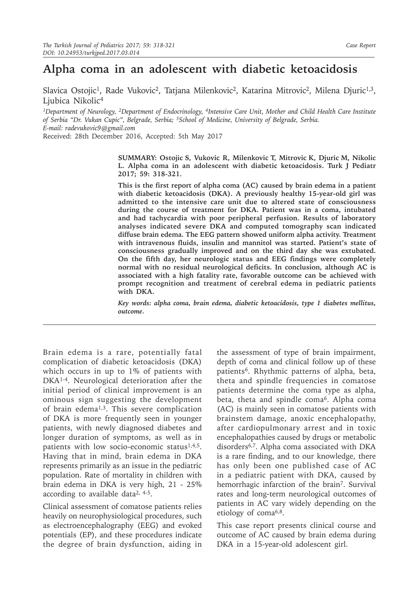# **Alpha coma in an adolescent with diabetic ketoacidosis**

Slavica Ostojic<sup>1</sup>, Rade Vukovic<sup>2</sup>, Tatjana Milenkovic<sup>2</sup>, Katarina Mitrovic<sup>2</sup>, Milena Djuric<sup>1,3</sup>, Ljubica Nikolic<sup>4</sup>

*1Department of Neurology, 2Department of Endocrinology, 4Intensive Care Unit, Mother and Child Health Care Institute of Serbia "Dr. Vukan Cupic", Belgrade, Serbia; <sup>3</sup>School of Medicine, University of Belgrade, Serbia. E-mail: radevukovic9@gmail.com*

Received: 28th December 2016, Accepted: 5th May 2017

**SUMMARY: Ostojic S, Vukovic R, Milenkovic T, Mitrovic K, Djuric M, Nikolic L. Alpha coma in an adolescent with diabetic ketoacidosis. Turk J Pediatr 2017; 59: 318-321.** 

**This is the first report of alpha coma (AC) caused by brain edema in a patient with diabetic ketoacidosis (DKA). A previously healthy 15-year-old girl was admitted to the intensive care unit due to altered state of consciousness during the course of treatment for DKA. Patient was in a coma, intubated and had tachycardia with poor peripheral perfusion. Results of laboratory analyses indicated severe DKA and computed tomography scan indicated diffuse brain edema. The EEG pattern showed uniform alpha activity. Treatment with intravenous fluids, insulin and mannitol was started. Patient's state of consciousness gradually improved and on the third day she was extubated. On the fifth day, her neurologic status and EEG findings were completely normal with no residual neurological deficits. In conclusion, although AC is associated with a high fatality rate, favorable outcome can be achieved with prompt recognition and treatment of cerebral edema in pediatric patients with DKA.**

*Key words: alpha coma, brain edema, diabetic ketoacidosis, type 1 diabetes mellitus, outcome.*

Brain edema is a rare, potentially fatal complication of diabetic ketoacidosis (DKA) which occurs in up to 1% of patients with DKA<sup>1-4</sup>. Neurological deterioration after the initial period of clinical improvement is an ominous sign suggesting the development of brain edema<sup>1,3</sup>. This severe complication of DKA is more frequently seen in younger patients, with newly diagnosed diabetes and longer duration of symptoms, as well as in patients with low socio-economic status $1,4,5$ . Having that in mind, brain edema in DKA represents primarily as an issue in the pediatric population. Rate of mortality in children with brain edema in DKA is very high, 21 - 25% according to available data<sup>2, 4-5</sup>.

Clinical assessment of comatose patients relies heavily on neurophysiological procedures, such as electroencephalography (EEG) and evoked potentials (EP), and these procedures indicate the degree of brain dysfunction, aiding in

the assessment of type of brain impairment, depth of coma and clinical follow up of these patients<sup>6</sup>. Rhythmic patterns of alpha, beta, theta and spindle frequencies in comatose patients determine the coma type as alpha, beta, theta and spindle coma<sup>6</sup>. Alpha coma (AC) is mainly seen in comatose patients with brainstem damage, anoxic encephalopathy, after cardiopulmonary arrest and in toxic encephalopathies caused by drugs or metabolic disorders6,7. Alpha coma associated with DKA is a rare finding, and to our knowledge, there has only been one published case of AC in a pediatric patient with DKA, caused by hemorrhagic infarction of the brain<sup>7</sup>. Survival rates and long-term neurological outcomes of patients in AC vary widely depending on the etiology of coma6,8.

This case report presents clinical course and outcome of AC caused by brain edema during DKA in a 15-year-old adolescent girl.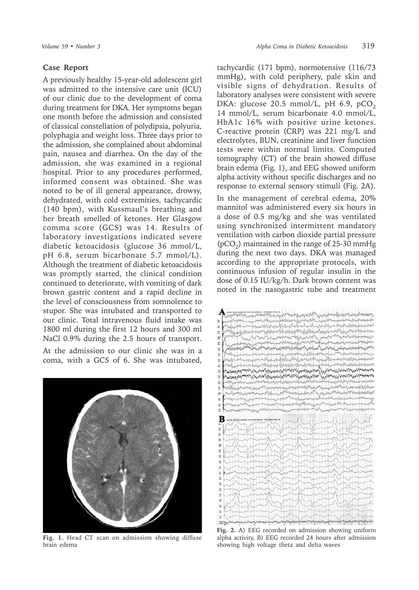## **Case Report**

A previously healthy 15-year-old adolescent girl was admitted to the intensive care unit (ICU) of our clinic due to the development of coma during treatment for DKA. Her symptoms began one month before the admission and consisted of classical constellation of polydipsia, polyuria, polyphagia and weight loss. Three days prior to the admission, she complained about abdominal pain, nausea and diarrhea. On the day of the admission, she was examined in a regional hospital. Prior to any procedures performed, informed consent was obtained. She was noted to be of ill general appearance, drowsy, dehydrated, with cold extremities, tachycardic (140 bpm), with Kussmaul's breathing and her breath smelled of ketones. Her Glasgow comma score (GCS) was 14. Results of laboratory investigations indicated severe diabetic ketoacidosis (glucose 36 mmol/L, pH 6.8, serum bicarbonate 5.7 mmol/L). Although the treatment of diabetic ketoacidosis was promptly started, the clinical condition continued to deteriorate, with vomiting of dark brown gastric content and a rapid decline in the level of consciousness from somnolence to stupor. She was intubated and transported to our clinic. Total intravenous fluid intake was 1800 ml during the first 12 hours and 300 ml NaCl 0.9% during the 2.5 hours of transport.

At the admission to our clinic she was in a coma, with a GCS of 6. She was intubated,



**Fig. 1.** Head CT scan on admission showing diffuse brain edema

tachycardic (171 bpm), normotensive (116/73 mmHg), with cold periphery, pale skin and visible signs of dehydration. Results of laboratory analyses were consistent with severe DKA: glucose 20.5 mmol/L, pH 6.9, pCO<sub>2</sub> 14 mmol/L, serum bicarbonate 4.0 mmol/L, HbA1c 16% with positive urine ketones. C-reactive protein (CRP) was 221 mg/L and electrolytes, BUN, creatinine and liver function tests were within normal limits. Computed tomography (CT) of the brain showed diffuse brain edema (Fig. 1), and EEG showed uniform alpha activity without specific discharges and no response to external sensory stimuli (Fig. 2A).

In the management of cerebral edema, 20% mannitol was administered every six hours in a dose of 0.5 mg/kg and she was ventilated using synchronized intermittent mandatory ventilation with carbon dioxide partial pressure  $(pCO<sub>2</sub>)$  maintained in the range of 25-30 mmHg during the next two days. DKA was managed according to the appropriate protocols, with continuous infusion of regular insulin in the dose of 0.15 IU/kg/h. Dark brown content was noted in the nasogastric tube and treatment



**Fig. 2.** A) EEG recorded on admission showing uniform alpha activity, B) EEG recorded 24 hours after admission showing high voltage theta and delta waves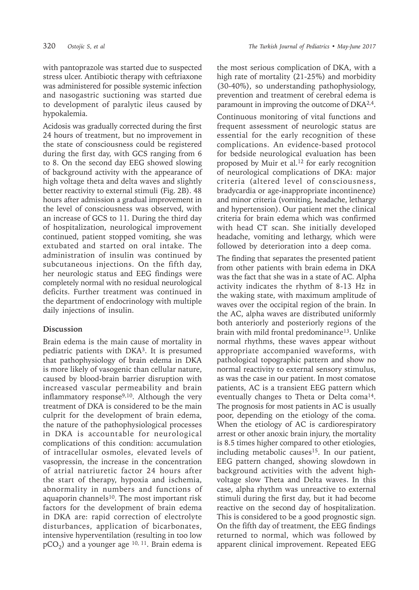with pantoprazole was started due to suspected stress ulcer. Antibiotic therapy with ceftriaxone was administered for possible systemic infection and nasogastric suctioning was started due to development of paralytic ileus caused by hypokalemia.

Acidosis was gradually corrected during the first 24 hours of treatment, but no improvement in the state of consciousness could be registered during the first day, with GCS ranging from 6 to 8. On the second day EEG showed slowing of background activity with the appearance of high voltage theta and delta waves and slightly better reactivity to external stimuli (Fig. 2B). 48 hours after admission a gradual improvement in the level of consciousness was observed, with an increase of GCS to 11. During the third day of hospitalization, neurological improvement continued, patient stopped vomiting, she was extubated and started on oral intake. The administration of insulin was continued by subcutaneous injections. On the fifth day, her neurologic status and EEG findings were completely normal with no residual neurological deficits. Further treatment was continued in the department of endocrinology with multiple daily injections of insulin.

## **Discussion**

Brain edema is the main cause of mortality in pediatric patients with DKA<sup>3</sup>. It is presumed that pathophysiology of brain edema in DKA is more likely of vasogenic than cellular nature, caused by blood-brain barrier disruption with increased vascular permeability and brain inflammatory response<sup>9,10</sup>. Although the very treatment of DKA is considered to be the main culprit for the development of brain edema, the nature of the pathophysiological processes in DKA is accountable for neurological complications of this condition: accumulation of intracellular osmoles, elevated levels of vasopressin, the increase in the concentration of atrial natriuretic factor 24 hours after the start of therapy, hypoxia and ischemia, abnormality in numbers and functions of aquaporin channels<sup>10</sup>. The most important risk factors for the development of brain edema in DKA are: rapid correction of electrolyte disturbances, application of bicarbonates, intensive hyperventilation (resulting in too low  $pCO<sub>2</sub>$ ) and a younger age <sup>10, 11</sup>. Brain edema is

the most serious complication of DKA, with a high rate of mortality (21-25%) and morbidity (30-40%), so understanding pathophysiology, prevention and treatment of cerebral edema is paramount in improving the outcome of DKA2,4.

Continuous monitoring of vital functions and frequent assessment of neurologic status are essential for the early recognition of these complications. An evidence-based protocol for bedside neurological evaluation has been proposed by Muir et al. $^{12}$  for early recognition of neurological complications of DKA: major criteria (altered level of consciousness, bradycardia or age-inappropriate incontinence) and minor criteria (vomiting, headache, lethargy and hypertension). Our patient met the clinical criteria for brain edema which was confirmed with head CT scan. She initially developed headache, vomiting and lethargy, which were followed by deterioration into a deep coma.

The finding that separates the presented patient from other patients with brain edema in DKA was the fact that she was in a state of AC. Alpha activity indicates the rhythm of 8-13 Hz in the waking state, with maximum amplitude of waves over the occipital region of the brain. In the AC, alpha waves are distributed uniformly both anteriorly and posteriorly regions of the brain with mild frontal predominance<sup>13</sup>. Unlike normal rhythms, these waves appear without appropriate accompanied waveforms, with pathological topographic pattern and show no normal reactivity to external sensory stimulus, as was the case in our patient. In most comatose patients, AC is a transient EEG pattern which eventually changes to Theta or Delta coma<sup>14</sup>. The prognosis for most patients in AC is usually poor, depending on the etiology of the coma. When the etiology of AC is cardiorespiratory arrest or other anoxic brain injury, the mortality is 8.5 times higher compared to other etiologies, including metabolic causes<sup>15</sup>. In our patient, EEG pattern changed, showing slowdown in background activities with the advent highvoltage slow Theta and Delta waves. In this case, alpha rhythm was unreactive to external stimuli during the first day, but it had become reactive on the second day of hospitalization. This is considered to be a good prognostic sign. On the fifth day of treatment, the EEG findings returned to normal, which was followed by apparent clinical improvement. Repeated EEG